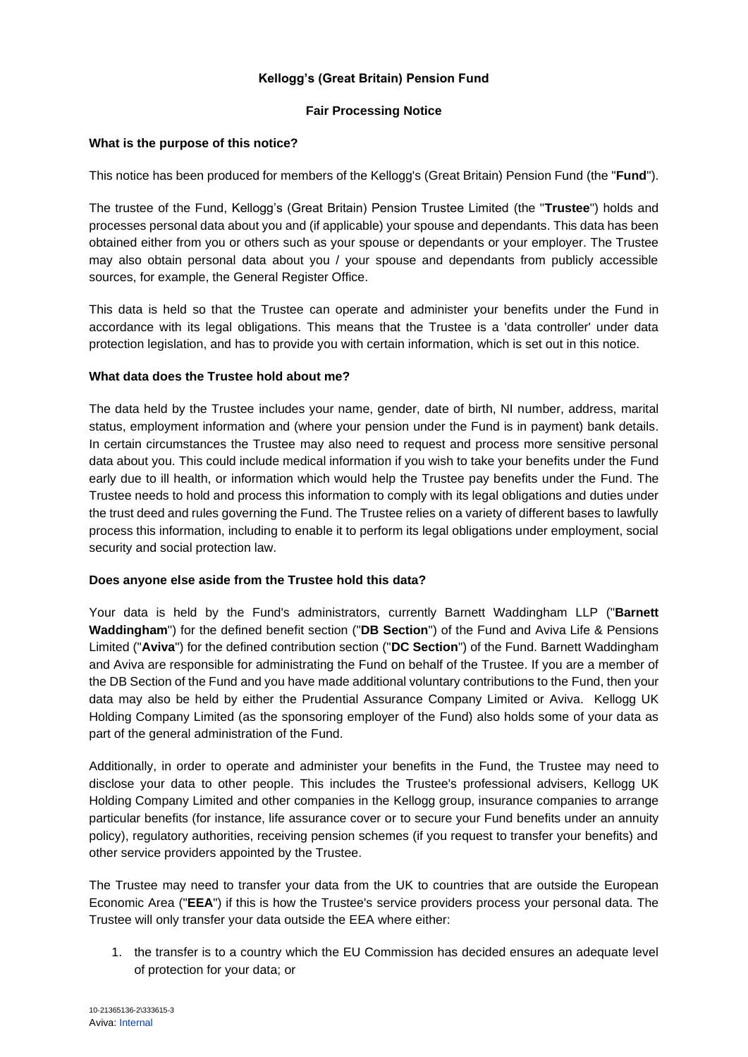# **Kellogg's (Great Britain) Pension Fund**

### **Fair Processing Notice**

### **What is the purpose of this notice?**

This notice has been produced for members of the Kellogg's (Great Britain) Pension Fund (the "**Fund**").

The trustee of the Fund, Kellogg's (Great Britain) Pension Trustee Limited (the "**Trustee**") holds and processes personal data about you and (if applicable) your spouse and dependants. This data has been obtained either from you or others such as your spouse or dependants or your employer. The Trustee may also obtain personal data about you / your spouse and dependants from publicly accessible sources, for example, the General Register Office.

This data is held so that the Trustee can operate and administer your benefits under the Fund in accordance with its legal obligations. This means that the Trustee is a 'data controller' under data protection legislation, and has to provide you with certain information, which is set out in this notice.

### **What data does the Trustee hold about me?**

The data held by the Trustee includes your name, gender, date of birth, NI number, address, marital status, employment information and (where your pension under the Fund is in payment) bank details. In certain circumstances the Trustee may also need to request and process more sensitive personal data about you. This could include medical information if you wish to take your benefits under the Fund early due to ill health, or information which would help the Trustee pay benefits under the Fund. The Trustee needs to hold and process this information to comply with its legal obligations and duties under the trust deed and rules governing the Fund. The Trustee relies on a variety of different bases to lawfully process this information, including to enable it to perform its legal obligations under employment, social security and social protection law.

### **Does anyone else aside from the Trustee hold this data?**

Your data is held by the Fund's administrators, currently Barnett Waddingham LLP ("**Barnett Waddingham**") for the defined benefit section ("**DB Section**") of the Fund and Aviva Life & Pensions Limited ("**Aviva**") for the defined contribution section ("**DC Section**") of the Fund. Barnett Waddingham and Aviva are responsible for administrating the Fund on behalf of the Trustee. If you are a member of the DB Section of the Fund and you have made additional voluntary contributions to the Fund, then your data may also be held by either the Prudential Assurance Company Limited or Aviva. Kellogg UK Holding Company Limited (as the sponsoring employer of the Fund) also holds some of your data as part of the general administration of the Fund.

Additionally, in order to operate and administer your benefits in the Fund, the Trustee may need to disclose your data to other people. This includes the Trustee's professional advisers, Kellogg UK Holding Company Limited and other companies in the Kellogg group, insurance companies to arrange particular benefits (for instance, life assurance cover or to secure your Fund benefits under an annuity policy), regulatory authorities, receiving pension schemes (if you request to transfer your benefits) and other service providers appointed by the Trustee.

The Trustee may need to transfer your data from the UK to countries that are outside the European Economic Area ("**EEA**") if this is how the Trustee's service providers process your personal data. The Trustee will only transfer your data outside the EEA where either:

1. the transfer is to a country which the EU Commission has decided ensures an adequate level of protection for your data; or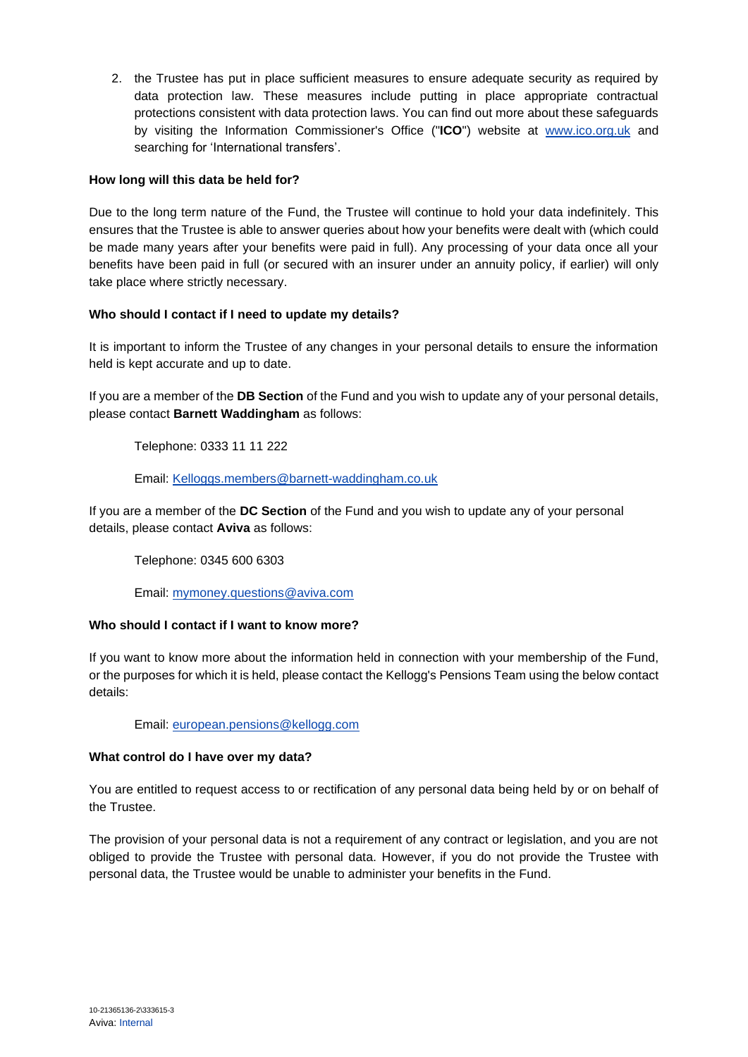2. the Trustee has put in place sufficient measures to ensure adequate security as required by data protection law. These measures include putting in place appropriate contractual protections consistent with data protection laws. You can find out more about these safeguards by visiting the Information Commissioner's Office ("**ICO**") website at [www.ico.org.uk](http://www.ico.org.uk/) and searching for 'International transfers'.

### **How long will this data be held for?**

Due to the long term nature of the Fund, the Trustee will continue to hold your data indefinitely. This ensures that the Trustee is able to answer queries about how your benefits were dealt with (which could be made many years after your benefits were paid in full). Any processing of your data once all your benefits have been paid in full (or secured with an insurer under an annuity policy, if earlier) will only take place where strictly necessary.

# **Who should I contact if I need to update my details?**

It is important to inform the Trustee of any changes in your personal details to ensure the information held is kept accurate and up to date.

If you are a member of the **DB Section** of the Fund and you wish to update any of your personal details, please contact **Barnett Waddingham** as follows:

Telephone: 0333 11 11 222

# Email: [Kelloggs.members@barnett-waddingham.co.uk](mailto:Kelloggs.members@barnett-waddingham.co.uk)

If you are a member of the **DC Section** of the Fund and you wish to update any of your personal details, please contact **Aviva** as follows:

Telephone: 0345 600 6303

Email: [mymoney.questions@aviva.com](mailto:mymoney.questions@aviva.com)

### **Who should I contact if I want to know more?**

If you want to know more about the information held in connection with your membership of the Fund, or the purposes for which it is held, please contact the Kellogg's Pensions Team using the below contact details:

Email: [european.pensions@kellogg.com](mailto:european.pensions@kellogg.com)

### **What control do I have over my data?**

You are entitled to request access to or rectification of any personal data being held by or on behalf of the Trustee.

The provision of your personal data is not a requirement of any contract or legislation, and you are not obliged to provide the Trustee with personal data. However, if you do not provide the Trustee with personal data, the Trustee would be unable to administer your benefits in the Fund.